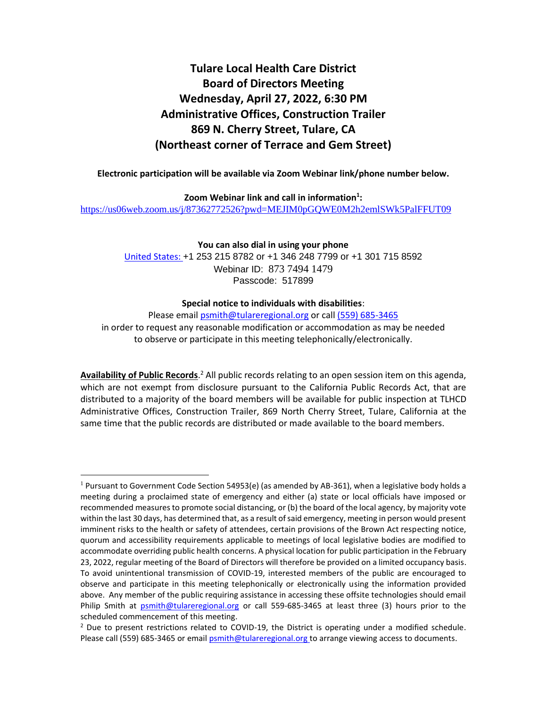# **Tulare Local Health Care District Board of Directors Meeting Wednesday, April 27, 2022, 6:30 PM Administrative Offices, Construction Trailer 869 N. Cherry Street, Tulare, CA (Northeast corner of Terrace and Gem Street)**

**Electronic participation will be available via Zoom Webinar link/phone number below.**

**Zoom Webinar link and call in information<sup>1</sup> :**

<https://us06web.zoom.us/j/87362772526?pwd=MEJIM0pGQWE0M2h2emlSWk5PalFFUT09>

**You can also dial in using your phone**

United States: +1 253 215 8782 or +1 346 248 7799 or +1 301 715 8592 Webinar ID: 873 7494 1479 Passcode: 517899

## **Special notice to individuals with disabilities**:

Please email [psmith@tulareregional.org](mailto:sormonde@tulareregional.org) or call (559) 685-3465 in order to request any reasonable modification or accommodation as may be needed to observe or participate in this meeting telephonically/electronically.

Availability of Public Records.<sup>2</sup> All public records relating to an open session item on this agenda, which are not exempt from disclosure pursuant to the California Public Records Act, that are distributed to a majority of the board members will be available for public inspection at TLHCD Administrative Offices, Construction Trailer, 869 North Cherry Street, Tulare, California at the same time that the public records are distributed or made available to the board members.

<sup>&</sup>lt;sup>1</sup> Pursuant to Government Code Section 54953(e) (as amended by AB-361), when a legislative body holds a meeting during a proclaimed state of emergency and either (a) state or local officials have imposed or recommended measures to promote social distancing, or (b) the board of the local agency, by majority vote within the last 30 days, has determined that, as a result of said emergency, meeting in person would present imminent risks to the health or safety of attendees, certain provisions of the Brown Act respecting notice, quorum and accessibility requirements applicable to meetings of local legislative bodies are modified to accommodate overriding public health concerns. A physical location for public participation in the February 23, 2022, regular meeting of the Board of Directors will therefore be provided on a limited occupancy basis. To avoid unintentional transmission of COVID-19, interested members of the public are encouraged to observe and participate in this meeting telephonically or electronically using the information provided above. Any member of the public requiring assistance in accessing these offsite technologies should email Philip Smith at [psmith@tulareregional.org](mailto:kmelendez@tulareregional.org) or call 559-685-3465 at least three (3) hours prior to the scheduled commencement of this meeting.

 $<sup>2</sup>$  Due to present restrictions related to COVID-19, the District is operating under a modified schedule.</sup> Please call (559) 685-3465 or email **psmith@tulareregional.org** to arrange viewing access to documents.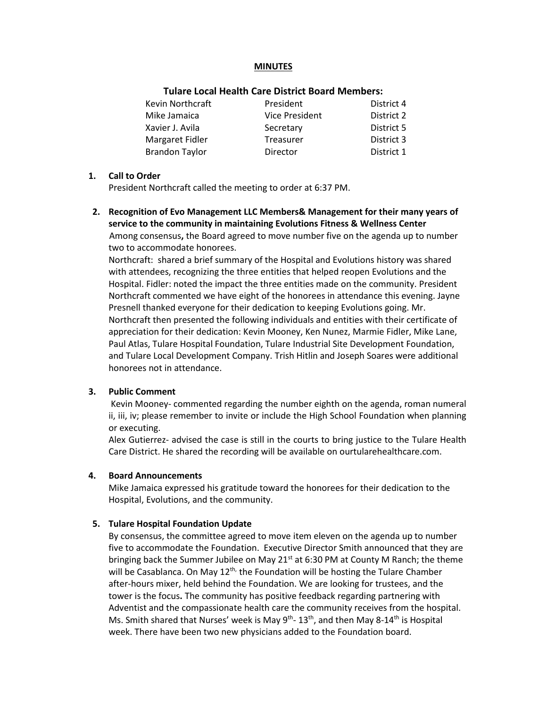## **MINUTES**

# **Tulare Local Health Care District Board Members:**

| Kevin Northcraft      | President             | District 4 |
|-----------------------|-----------------------|------------|
| Mike Jamaica          | <b>Vice President</b> | District 2 |
| Xavier J. Avila       | Secretary             | District 5 |
| Margaret Fidler       | Treasurer             | District 3 |
| <b>Brandon Taylor</b> | Director              | District 1 |

## **1. Call to Order**

President Northcraft called the meeting to order at 6:37 PM.

**2. Recognition of Evo Management LLC Members& Management for their many years of service to the community in maintaining Evolutions Fitness & Wellness Center** Among consensus**,** the Board agreed to move number five on the agenda up to number two to accommodate honorees.

Northcraft: shared a brief summary of the Hospital and Evolutions history was shared with attendees, recognizing the three entities that helped reopen Evolutions and the Hospital. Fidler: noted the impact the three entities made on the community. President Northcraft commented we have eight of the honorees in attendance this evening. Jayne Presnell thanked everyone for their dedication to keeping Evolutions going. Mr. Northcraft then presented the following individuals and entities with their certificate of appreciation for their dedication: Kevin Mooney, Ken Nunez, Marmie Fidler, Mike Lane, Paul Atlas, Tulare Hospital Foundation, Tulare Industrial Site Development Foundation, and Tulare Local Development Company. Trish Hitlin and Joseph Soares were additional honorees not in attendance.

## **3. Public Comment**

Kevin Mooney- commented regarding the number eighth on the agenda, roman numeral ii, iii, iv; please remember to invite or include the High School Foundation when planning or executing.

Alex Gutierrez- advised the case is still in the courts to bring justice to the Tulare Health Care District. He shared the recording will be available on ourtularehealthcare.com.

## **4. Board Announcements**

Mike Jamaica expressed his gratitude toward the honorees for their dedication to the Hospital, Evolutions, and the community.

# **5. Tulare Hospital Foundation Update**

By consensus, the committee agreed to move item eleven on the agenda up to number five to accommodate the Foundation. Executive Director Smith announced that they are bringing back the Summer Jubilee on May 21 $st$  at 6:30 PM at County M Ranch; the theme will be Casablanca. On May 12<sup>th,</sup> the Foundation will be hosting the Tulare Chamber after-hours mixer, held behind the Foundation. We are looking for trustees, and the tower is the focus**.** The community has positive feedback regarding partnering with Adventist and the compassionate health care the community receives from the hospital. Ms. Smith shared that Nurses' week is May 9<sup>th</sup>- 13<sup>th</sup>, and then May 8-14<sup>th</sup> is Hospital week. There have been two new physicians added to the Foundation board.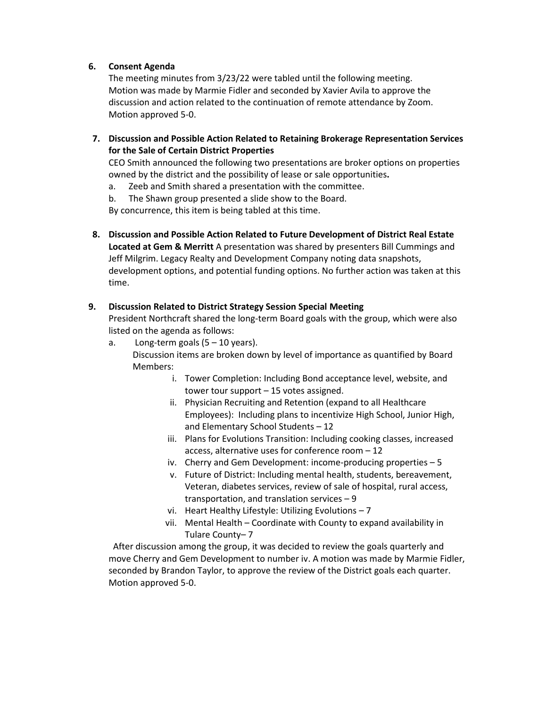# **6. Consent Agenda**

The meeting minutes from 3/23/22 were tabled until the following meeting. Motion was made by Marmie Fidler and seconded by Xavier Avila to approve the discussion and action related to the continuation of remote attendance by Zoom. Motion approved 5-0.

**7. Discussion and Possible Action Related to Retaining Brokerage Representation Services for the Sale of Certain District Properties**

CEO Smith announced the following two presentations are broker options on properties owned by the district and the possibility of lease or sale opportunities**.**

- a. Zeeb and Smith shared a presentation with the committee.
- b. The Shawn group presented a slide show to the Board.

By concurrence, this item is being tabled at this time.

**8. Discussion and Possible Action Related to Future Development of District Real Estate Located at Gem & Merritt** A presentation was shared by presenters Bill Cummings and Jeff Milgrim. Legacy Realty and Development Company noting data snapshots, development options, and potential funding options. No further action was taken at this time.

# **9. Discussion Related to District Strategy Session Special Meeting**

President Northcraft shared the long-term Board goals with the group, which were also listed on the agenda as follows:

- a. Long-term goals  $(5 10 \text{ years})$ . Discussion items are broken down by level of importance as quantified by Board Members:
	- i. Tower Completion: Including Bond acceptance level, website, and tower tour support – 15 votes assigned.
	- ii. Physician Recruiting and Retention (expand to all Healthcare Employees): Including plans to incentivize High School, Junior High, and Elementary School Students – 12
	- iii. Plans for Evolutions Transition: Including cooking classes, increased access, alternative uses for conference room – 12
	- iv. Cherry and Gem Development: income-producing properties 5
	- v. Future of District: Including mental health, students, bereavement, Veteran, diabetes services, review of sale of hospital, rural access, transportation, and translation services – 9
	- vi. Heart Healthy Lifestyle: Utilizing Evolutions 7
	- vii. Mental Health Coordinate with County to expand availability in Tulare County– 7

 After discussion among the group, it was decided to review the goals quarterly and move Cherry and Gem Development to number iv. A motion was made by Marmie Fidler, seconded by Brandon Taylor, to approve the review of the District goals each quarter. Motion approved 5-0.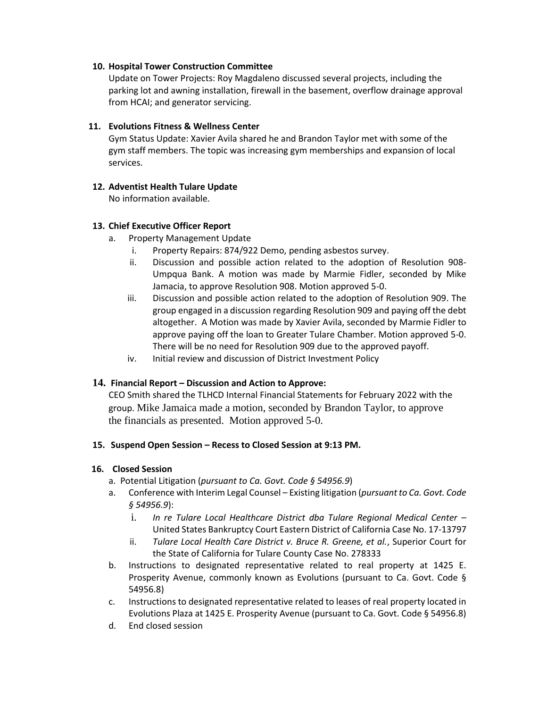# **10. Hospital Tower Construction Committee**

Update on Tower Projects: Roy Magdaleno discussed several projects, including the parking lot and awning installation, firewall in the basement, overflow drainage approval from HCAI; and generator servicing.

## **11. Evolutions Fitness & Wellness Center**

Gym Status Update: Xavier Avila shared he and Brandon Taylor met with some of the gym staff members. The topic was increasing gym memberships and expansion of local services.

# **12. Adventist Health Tulare Update**

No information available.

# **13. Chief Executive Officer Report**

- a. Property Management Update
	- i. Property Repairs: 874/922 Demo, pending asbestos survey.
	- ii. Discussion and possible action related to the adoption of Resolution 908- Umpqua Bank. A motion was made by Marmie Fidler, seconded by Mike Jamacia, to approve Resolution 908. Motion approved 5-0.
	- iii. Discussion and possible action related to the adoption of Resolution 909. The group engaged in a discussion regarding Resolution 909 and paying off the debt altogether. A Motion was made by Xavier Avila, seconded by Marmie Fidler to approve paying off the loan to Greater Tulare Chamber. Motion approved 5-0. There will be no need for Resolution 909 due to the approved payoff.
	- iv. Initial review and discussion of District Investment Policy

# **14. Financial Report – Discussion and Action to Approve:**

CEO Smith shared the TLHCD Internal Financial Statements for February 2022 with the group. Mike Jamaica made a motion, seconded by Brandon Taylor, to approve the financials as presented. Motion approved 5-0.

## **15. Suspend Open Session – Recess to Closed Session at 9:13 PM.**

## **16. Closed Session**

- a. Potential Litigation (*pursuant to Ca. Govt. Code § 54956.9*)
- a. Conference with Interim Legal Counsel Existing litigation (*pursuant to Ca. Govt. Code § 54956.9*):
	- i. *In re Tulare Local Healthcare District dba Tulare Regional Medical Center* United States Bankruptcy Court Eastern District of California Case No. 17-13797
	- ii. *Tulare Local Health Care District v. Bruce R. Greene, et al.*, Superior Court for the State of California for Tulare County Case No. 278333
- b. Instructions to designated representative related to real property at 1425 E. Prosperity Avenue, commonly known as Evolutions (pursuant to Ca. Govt. Code § 54956.8)
- c. Instructions to designated representative related to leases of real property located in Evolutions Plaza at 1425 E. Prosperity Avenue (pursuant to Ca. Govt. Code § 54956.8)
- d. End closed session